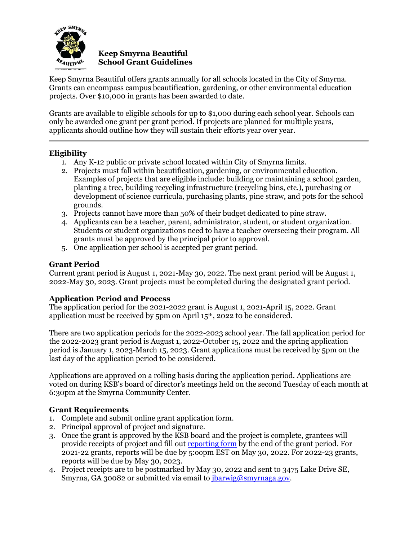

#### **Keep Smyrna Beautiful School Grant Guidelines**

Keep Smyrna Beautiful offers grants annually for all schools located in the City of Smyrna. Grants can encompass campus beautification, gardening, or other environmental education projects. Over \$10,000 in grants has been awarded to date.

Grants are available to eligible schools for up to \$1,000 during each school year. Schools can only be awarded one grant per grant period. If projects are planned for multiple years, applicants should outline how they will sustain their efforts year over year.

# **Eligibility**

- 1. Any K-12 public or private school located within City of Smyrna limits.
- 2. Projects must fall within beautification, gardening, or environmental education. Examples of projects that are eligible include: building or maintaining a school garden, planting a tree, building recycling infrastructure (recycling bins, etc.), purchasing or development of science curricula, purchasing plants, pine straw, and pots for the school grounds.
- 3. Projects cannot have more than 50% of their budget dedicated to pine straw.
- 4. Applicants can be a teacher, parent, administrator, student, or student organization. Students or student organizations need to have a teacher overseeing their program. All grants must be approved by the principal prior to approval.
- 5. One application per school is accepted per grant period.

## **Grant Period**

Current grant period is August 1, 2021-May 30, 2022. The next grant period will be August 1, 2022-May 30, 2023. Grant projects must be completed during the designated grant period.

#### **Application Period and Process**

The application period for the 2021-2022 grant is August 1, 2021-April 15, 2022. Grant application must be received by 5pm on April 15th, 2022 t0 be considered.

There are two application periods for the 2022-2023 school year. The fall application period for the 2022-2023 grant period is August 1, 2022-October 15, 2022 and the spring application period is January 1, 2023-March 15, 2023. Grant applications must be received by 5pm on the last day of the application period to be considered.

Applications are approved on a rolling basis during the application period. Applications are voted on during KSB's board of director's meetings held on the second Tuesday of each month at 6:30pm at the Smyrna Community Center.

#### **Grant Requirements**

- 1. Complete and submit online grant application form.
- 2. Principal approval of project and signature.
- 3. Once the grant is approved by the KSB board and the project is complete, grantees will provide receipts of project and fill out [reporting form](https://docs.google.com/forms/d/e/1FAIpQLSe37hgDBXCSddRKoips0wx2xULH4fNRfWuRgmCMHKSYN5d9tw/viewform) by the end of the grant period. For 2021-22 grants, reports will be due by 5:oopm EST on May 30, 2022. For 2022-23 grants, reports will be due by May 30, 2023.
- 4. Project receipts are to be postmarked by May 30, 2022 and sent to 3475 Lake Drive SE, Smyrna, GA 30082 or submitted via email to *ibarwig@smyrnaga.gov.*